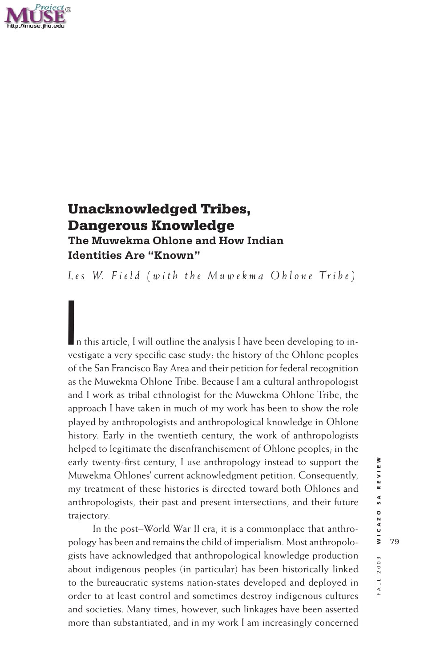

# **Unacknowledged Tribes, Dangerous Knowledge The Muwekma Ohlone and How Indian Identities Are "Known"**

Les *W. Field (with the Muwekma Ohlone Tribe)* 

In this article, I will outline the analysis I have been developing to investigate a very specific case study: the history of the Ohlone peoples of the San Francisco Bay Area and their petition for federal recognition as the Muwekma Ohlone Tribe. Because I am a cultural anthropologist and I work as tribal ethnologist for the Muwekma Ohlone Tribe, the approach I have taken in much of my work has been to show the role played by anthropologists and anthropological knowledge in Ohlone history. Early in the twentieth century, the work of anthropologists helped to legitimate the disenfranchisement of Ohlone peoples; in the early twenty-first century, I use anthropology instead to support the Muwekma Ohlones' current acknowledgment petition. Consequently, my treatment of these histories is directed toward both Ohlones and anthropologists, their past and present intersections, and their future trajectory.

In the post–World War II era, it is a commonplace that anthropology has been and remains the child of imperialism. Most anthropologists have acknowledged that anthropological knowledge production about indigenous peoples (in particular) has been historically linked to the bureaucratic systems nation-states developed and deployed in order to at least control and sometimes destroy indigenous cultures and societies. Many times, however, such linkages have been asserted more than substantiated, and in my work I am increasingly concerned

FO02 11V: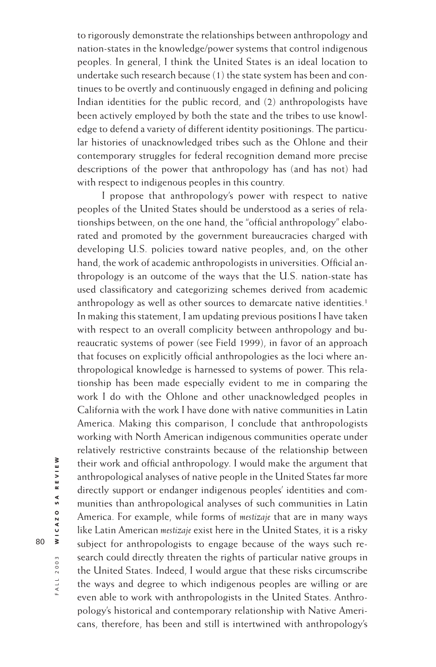to rigorously demonstrate the relationships between anthropology and nation-states in the knowledge/power systems that control indigenous peoples. In general, I think the United States is an ideal location to undertake such research because (1) the state system has been and continues to be overtly and continuously engaged in defining and policing Indian identities for the public record, and (2) anthropologists have been actively employed by both the state and the tribes to use knowledge to defend a variety of different identity positionings. The particular histories of unacknowledged tribes such as the Ohlone and their contemporary struggles for federal recognition demand more precise descriptions of the power that anthropology has (and has not) had with respect to indigenous peoples in this country.

I propose that anthropology's power with respect to native peoples of the United States should be understood as a series of relationships between, on the one hand, the "official anthropology" elaborated and promoted by the government bureaucracies charged with developing U.S. policies toward native peoples, and, on the other hand, the work of academic anthropologists in universities. Official anthropology is an outcome of the ways that the U.S. nation-state has used classificatory and categorizing schemes derived from academic anthropology as well as other sources to demarcate native identities.<sup>1</sup> In making this statement, I am updating previous positions I have taken with respect to an overall complicity between anthropology and bureaucratic systems of power (see Field 1999), in favor of an approach that focuses on explicitly official anthropologies as the loci where anthropological knowledge is harnessed to systems of power. This relationship has been made especially evident to me in comparing the work I do with the Ohlone and other unacknowledged peoples in California with the work I have done with native communities in Latin America. Making this comparison, I conclude that anthropologists working with North American indigenous communities operate under relatively restrictive constraints because of the relationship between their work and official anthropology. I would make the argument that anthropological analyses of native people in the United States far more directly support or endanger indigenous peoples' identities and communities than anthropological analyses of such communities in Latin America. For example, while forms of *mestizaje* that are in many ways like Latin American *mestizaje* exist here in the United States, it is a risky subject for anthropologists to engage because of the ways such research could directly threaten the rights of particular native groups in the United States. Indeed, I would argue that these risks circumscribe the ways and degree to which indigenous peoples are willing or are even able to work with anthropologists in the United States. Anthropology's historical and contemporary relationship with Native Americans, therefore, has been and still is intertwined with anthropology's

FALL 2003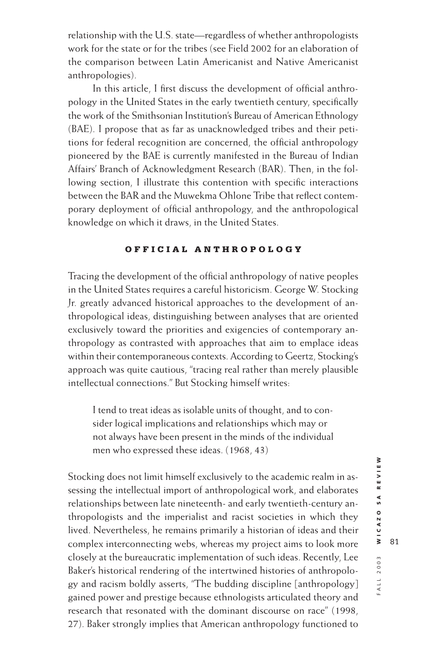relationship with the U.S. state—regardless of whether anthropologists work for the state or for the tribes (see Field 2002 for an elaboration of the comparison between Latin Americanist and Native Americanist anthropologies).

In this article, I first discuss the development of official anthropology in the United States in the early twentieth century, specifically the work of the Smithsonian Institution's Bureau of American Ethnology (BAE). I propose that as far as unacknowledged tribes and their petitions for federal recognition are concerned, the official anthropology pioneered by the BAE is currently manifested in the Bureau of Indian Affairs' Branch of Acknowledgment Research (BAR). Then, in the following section, I illustrate this contention with specific interactions between the BAR and the Muwekma Ohlone Tribe that reflect contemporary deployment of official anthropology, and the anthropological knowledge on which it draws, in the United States.

# **OFFICIAL ANTHROPOLOGY**

Tracing the development of the official anthropology of native peoples in the United States requires a careful historicism. George W. Stocking Jr. greatly advanced historical approaches to the development of anthropological ideas, distinguishing between analyses that are oriented exclusively toward the priorities and exigencies of contemporary anthropology as contrasted with approaches that aim to emplace ideas within their contemporaneous contexts. According to Geertz, Stocking's approach was quite cautious, "tracing real rather than merely plausible intellectual connections." But Stocking himself writes:

I tend to treat ideas as isolable units of thought, and to consider logical implications and relationships which may or not always have been present in the minds of the individual men who expressed these ideas. (1968, 43)

Stocking does not limit himself exclusively to the academic realm in assessing the intellectual import of anthropological work, and elaborates relationships between late nineteenth- and early twentieth-century anthropologists and the imperialist and racist societies in which they lived. Nevertheless, he remains primarily a historian of ideas and their complex interconnecting webs, whereas my project aims to look more closely at the bureaucratic implementation of such ideas. Recently, Lee Baker's historical rendering of the intertwined histories of anthropology and racism boldly asserts, "The budding discipline [anthropology] gained power and prestige because ethnologists articulated theory and research that resonated with the dominant discourse on race" (1998, 27). Baker strongly implies that American anthropology functioned to

FALL 2003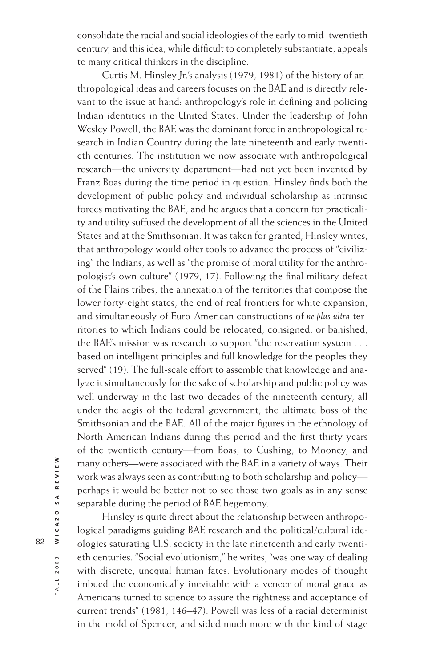consolidate the racial and social ideologies of the early to mid–twentieth century, and this idea, while difficult to completely substantiate, appeals to many critical thinkers in the discipline.

Curtis M. Hinsley Jr.'s analysis (1979, 1981) of the history of anthropological ideas and careers focuses on the BAE and is directly relevant to the issue at hand: anthropology's role in defining and policing Indian identities in the United States. Under the leadership of John Wesley Powell, the BAE was the dominant force in anthropological research in Indian Country during the late nineteenth and early twentieth centuries. The institution we now associate with anthropological research—the university department—had not yet been invented by Franz Boas during the time period in question. Hinsley finds both the development of public policy and individual scholarship as intrinsic forces motivating the BAE, and he argues that a concern for practicality and utility suffused the development of all the sciences in the United States and at the Smithsonian. It was taken for granted, Hinsley writes, that anthropology would offer tools to advance the process of "civilizing" the Indians, as well as "the promise of moral utility for the anthropologist's own culture" (1979, 17). Following the final military defeat of the Plains tribes, the annexation of the territories that compose the lower forty-eight states, the end of real frontiers for white expansion, and simultaneously of Euro-American constructions of *ne plus ultra* territories to which Indians could be relocated, consigned, or banished, the BAE's mission was research to support "the reservation system . . . based on intelligent principles and full knowledge for the peoples they served" (19). The full-scale effort to assemble that knowledge and analyze it simultaneously for the sake of scholarship and public policy was well underway in the last two decades of the nineteenth century, all under the aegis of the federal government, the ultimate boss of the Smithsonian and the BAE. All of the major figures in the ethnology of North American Indians during this period and the first thirty years of the twentieth century—from Boas, to Cushing, to Mooney, and many others—were associated with the BAE in a variety of ways. Their work was always seen as contributing to both scholarship and policy perhaps it would be better not to see those two goals as in any sense separable during the period of BAE hegemony.

Hinsley is quite direct about the relationship between anthropological paradigms guiding BAE research and the political/cultural ideologies saturating U.S. society in the late nineteenth and early twentieth centuries. "Social evolutionism," he writes, "was one way of dealing with discrete, unequal human fates. Evolutionary modes of thought imbued the economically inevitable with a veneer of moral grace as Americans turned to science to assure the rightness and acceptance of current trends" (1981, 146–47). Powell was less of a racial determinist in the mold of Spencer, and sided much more with the kind of stage

FALL 2003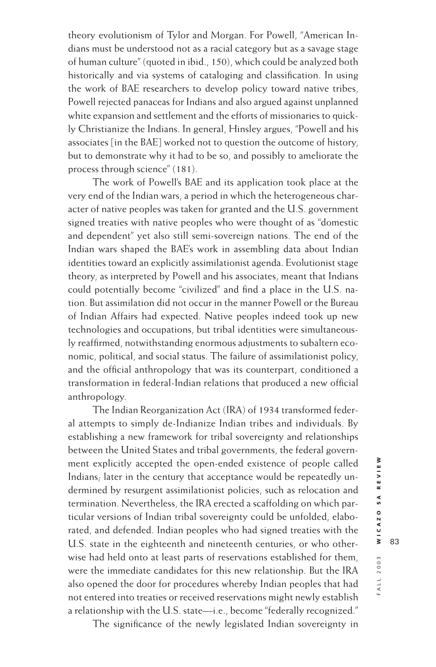theory evolutionism of Tylor and Morgan. For Powell, "American Indians must be understood not as a racial category but as a savage stage of human culture" (quoted in ibid., 150), which could be analyzed both historically and via systems of cataloging and classification. In using the work of BAE researchers to develop policy toward native tribes, Powell rejected panaceas for Indians and also argued against unplanned white expansion and settlement and the efforts of missionaries to quickly Christianize the Indians. In general, Hinsley argues, "Powell and his associates [in the BAE] worked not to question the outcome of history, but to demonstrate why it had to be so, and possibly to ameliorate the process through science" (181).

The work of Powell's BAE and its application took place at the very end of the Indian wars, a period in which the heterogeneous character of native peoples was taken for granted and the U.S. government signed treaties with native peoples who were thought of as "domestic and dependent" yet also still semi-sovereign nations. The end of the Indian wars shaped the BAE's work in assembling data about Indian identities toward an explicitly assimilationist agenda. Evolutionist stage theory, as interpreted by Powell and his associates, meant that Indians could potentially become "civilized" and find a place in the U.S. nation. But assimilation did not occur in the manner Powell or the Bureau of Indian Affairs had expected. Native peoples indeed took up new technologies and occupations, but tribal identities were simultaneously reaffirmed, notwithstanding enormous adjustments to subaltern economic, political, and social status. The failure of assimilationist policy, and the official anthropology that was its counterpart, conditioned a transformation in federal-Indian relations that produced a new official anthropology.

The Indian Reorganization Act (IRA) of 1934 transformed federal attempts to simply de-Indianize Indian tribes and individuals. By establishing a new framework for tribal sovereignty and relationships between the United States and tribal governments, the federal government explicitly accepted the open-ended existence of people called Indians; later in the century that acceptance would be repeatedly undermined by resurgent assimilationist policies, such as relocation and termination. Nevertheless, the IRA erected a scaffolding on which particular versions of Indian tribal sovereignty could be unfolded, elaborated, and defended. Indian peoples who had signed treaties with the U.S. state in the eighteenth and nineteenth centuries, or who otherwise had held onto at least parts of reservations established for them, were the immediate candidates for this new relationship. But the IRA also opened the door for procedures whereby Indian peoples that had not entered into treaties or received reservations might newly establish a relationship with the U.S. state—i.e., become "federally recognized."

83

The significance of the newly legislated Indian sovereignty in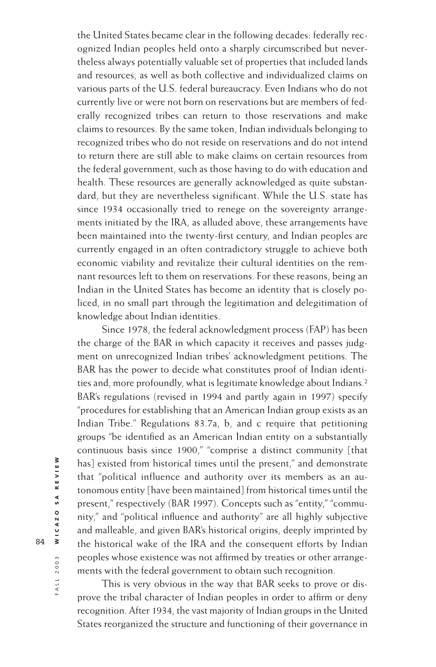the United States became clear in the following decades: federally recognized Indian peoples held onto a sharply circumscribed but nevertheless always potentially valuable set of properties that included lands and resources, as well as both collective and individualized claims on various parts of the U.S. federal bureaucracy. Even Indians who do not currently live or were not born on reservations but are members of federally recognized tribes can return to those reservations and make claims to resources. By the same token, Indian individuals belonging to recognized tribes who do not reside on reservations and do not intend to return there are still able to make claims on certain resources from the federal government, such as those having to do with education and health. These resources are generally acknowledged as quite substandard, but they are nevertheless significant. While the U.S. state has since 1934 occasionally tried to renege on the sovereignty arrangements initiated by the IRA, as alluded above, these arrangements have been maintained into the twenty-first century, and Indian peoples are currently engaged in an often contradictory struggle to achieve both economic viability and revitalize their cultural identities on the remnant resources left to them on reservations. For these reasons, being an Indian in the United States has become an identity that is closely policed, in no small part through the legitimation and delegitimation of knowledge about Indian identities.

Since 1978, the federal acknowledgment process (FAP) has been the charge of the BAR in which capacity it receives and passes judgment on unrecognized Indian tribes' acknowledgment petitions. The BAR has the power to decide what constitutes proof of Indian identities and, more profoundly, what is legitimate knowledge about Indians.2 BAR's regulations (revised in 1994 and partly again in 1997) specify "procedures for establishing that an American Indian group exists as an Indian Tribe." Regulations 83.7a, b, and c require that petitioning groups "be identified as an American Indian entity on a substantially continuous basis since 1900," "comprise a distinct community [that has] existed from historical times until the present," and demonstrate that "political influence and authority over its members as an autonomous entity [have been maintained] from historical times until the present," respectively (BAR 1997). Concepts such as "entity," "community," and "political influence and authority" are all highly subjective and malleable, and given BAR's historical origins, deeply imprinted by the historical wake of the IRA and the consequent efforts by Indian peoples whose existence was not affirmed by treaties or other arrangements with the federal government to obtain such recognition.

This is very obvious in the way that BAR seeks to prove or disprove the tribal character of Indian peoples in order to affirm or deny recognition. After 1934, the vast majority of Indian groups in the United States reorganized the structure and functioning of their governance in

FALL 2003 ALL 2003 **WICAZO SA REVIEW**

WICAZO SA REVIEW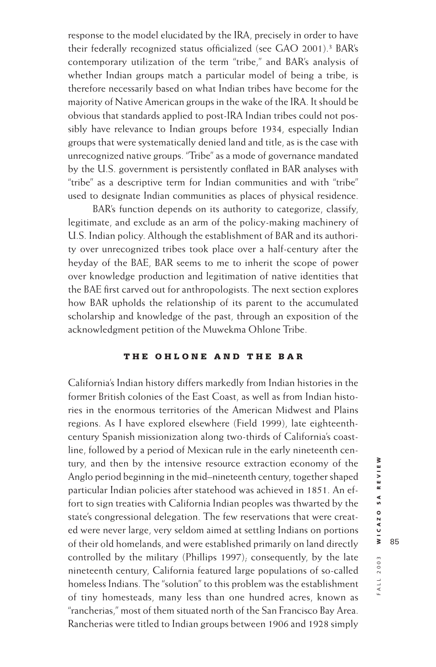response to the model elucidated by the IRA, precisely in order to have their federally recognized status officialized (see GAO 2001).3 BAR's contemporary utilization of the term "tribe," and BAR's analysis of whether Indian groups match a particular model of being a tribe, is therefore necessarily based on what Indian tribes have become for the majority of Native American groups in the wake of the IRA. It should be obvious that standards applied to post-IRA Indian tribes could not possibly have relevance to Indian groups before 1934, especially Indian groups that were systematically denied land and title, as is the case with unrecognized native groups. "Tribe" as a mode of governance mandated by the U.S. government is persistently conflated in BAR analyses with "tribe" as a descriptive term for Indian communities and with "tribe" used to designate Indian communities as places of physical residence.

BAR's function depends on its authority to categorize, classify, legitimate, and exclude as an arm of the policy-making machinery of U.S. Indian policy. Although the establishment of BAR and its authority over unrecognized tribes took place over a half-century after the heyday of the BAE, BAR seems to me to inherit the scope of power over knowledge production and legitimation of native identities that the BAE first carved out for anthropologists. The next section explores how BAR upholds the relationship of its parent to the accumulated scholarship and knowledge of the past, through an exposition of the acknowledgment petition of the Muwekma Ohlone Tribe.

### **THE OHLONE AND THE BAR**

California's Indian history differs markedly from Indian histories in the former British colonies of the East Coast, as well as from Indian histories in the enormous territories of the American Midwest and Plains regions. As I have explored elsewhere (Field 1999), late eighteenthcentury Spanish missionization along two-thirds of California's coastline, followed by a period of Mexican rule in the early nineteenth century, and then by the intensive resource extraction economy of the Anglo period beginning in the mid–nineteenth century, together shaped particular Indian policies after statehood was achieved in 1851. An effort to sign treaties with California Indian peoples was thwarted by the state's congressional delegation. The few reservations that were created were never large, very seldom aimed at settling Indians on portions of their old homelands, and were established primarily on land directly controlled by the military (Phillips 1997); consequently, by the late nineteenth century, California featured large populations of so-called homeless Indians. The "solution" to this problem was the establishment of tiny homesteads, many less than one hundred acres, known as "rancherias," most of them situated north of the San Francisco Bay Area. Rancherias were titled to Indian groups between 1906 and 1928 simply

FALL 2003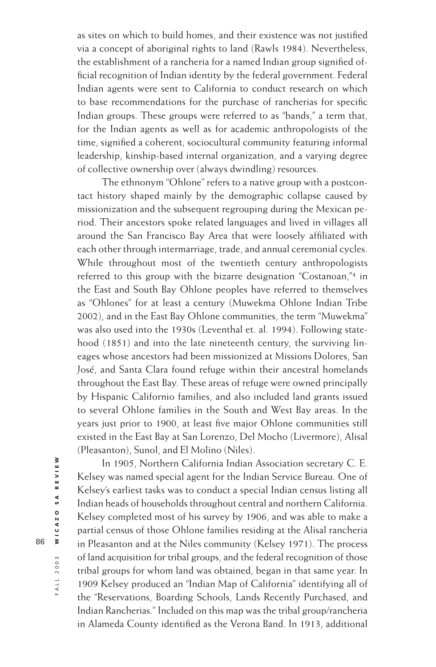as sites on which to build homes, and their existence was not justified via a concept of aboriginal rights to land (Rawls 1984). Nevertheless, the establishment of a rancheria for a named Indian group signified official recognition of Indian identity by the federal government. Federal Indian agents were sent to California to conduct research on which to base recommendations for the purchase of rancherias for specific Indian groups. These groups were referred to as "bands," a term that, for the Indian agents as well as for academic anthropologists of the time, signified a coherent, sociocultural community featuring informal leadership, kinship-based internal organization, and a varying degree of collective ownership over (always dwindling) resources.

The ethnonym "Ohlone" refers to a native group with a postcontact history shaped mainly by the demographic collapse caused by missionization and the subsequent regrouping during the Mexican period. Their ancestors spoke related languages and lived in villages all around the San Francisco Bay Area that were loosely affiliated with each other through intermarriage, trade, and annual ceremonial cycles. While throughout most of the twentieth century anthropologists referred to this group with the bizarre designation "Costanoan,"4 in the East and South Bay Ohlone peoples have referred to themselves as "Ohlones" for at least a century (Muwekma Ohlone Indian Tribe 2002), and in the East Bay Ohlone communities, the term "Muwekma" was also used into the 1930s (Leventhal et. al. 1994). Following statehood (1851) and into the late nineteenth century, the surviving lineages whose ancestors had been missionized at Missions Dolores, San José, and Santa Clara found refuge within their ancestral homelands throughout the East Bay. These areas of refuge were owned principally by Hispanic Californio families, and also included land grants issued to several Ohlone families in the South and West Bay areas. In the years just prior to 1900, at least five major Ohlone communities still existed in the East Bay at San Lorenzo, Del Mocho (Livermore), Alisal (Pleasanton), Sunol, and El Molino (Niles).

In 1905, Northern California Indian Association secretary C. E. Kelsey was named special agent for the Indian Service Bureau. One of Kelsey's earliest tasks was to conduct a special Indian census listing all Indian heads of households throughout central and northern California. Kelsey completed most of his survey by 1906, and was able to make a partial census of those Ohlone families residing at the Alisal rancheria in Pleasanton and at the Niles community (Kelsey 1971). The process of land acquisition for tribal groups, and the federal recognition of those tribal groups for whom land was obtained, began in that same year. In 1909 Kelsey produced an "Indian Map of California" identifying all of the "Reservations, Boarding Schools, Lands Recently Purchased, and Indian Rancherias." Included on this map was the tribal group/rancheria in Alameda County identified as the Verona Band. In 1913, additional

ALL 2003 **WICAZO SA REVIEW**

FALL 2003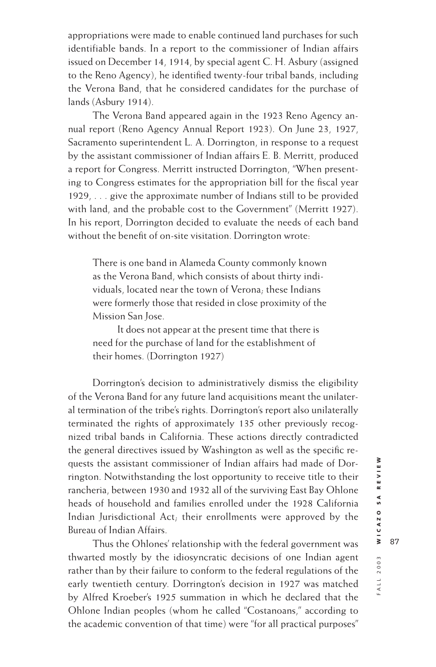appropriations were made to enable continued land purchases for such identifiable bands. In a report to the commissioner of Indian affairs issued on December 14, 1914, by special agent C. H. Asbury (assigned to the Reno Agency), he identified twenty-four tribal bands, including the Verona Band, that he considered candidates for the purchase of lands (Asbury 1914).

The Verona Band appeared again in the 1923 Reno Agency annual report (Reno Agency Annual Report 1923). On June 23, 1927, Sacramento superintendent L. A. Dorrington, in response to a request by the assistant commissioner of Indian affairs E. B. Merritt, produced a report for Congress. Merritt instructed Dorrington, "When presenting to Congress estimates for the appropriation bill for the fiscal year 1929, . . . give the approximate number of Indians still to be provided with land, and the probable cost to the Government" (Merritt 1927). In his report, Dorrington decided to evaluate the needs of each band without the benefit of on-site visitation. Dorrington wrote:

There is one band in Alameda County commonly known as the Verona Band, which consists of about thirty individuals, located near the town of Verona; these Indians were formerly those that resided in close proximity of the Mission San Jose.

It does not appear at the present time that there is need for the purchase of land for the establishment of their homes. (Dorrington 1927)

Dorrington's decision to administratively dismiss the eligibility of the Verona Band for any future land acquisitions meant the unilateral termination of the tribe's rights. Dorrington's report also unilaterally terminated the rights of approximately 135 other previously recognized tribal bands in California. These actions directly contradicted the general directives issued by Washington as well as the specific requests the assistant commissioner of Indian affairs had made of Dorrington. Notwithstanding the lost opportunity to receive title to their rancheria, between 1930 and 1932 all of the surviving East Bay Ohlone heads of household and families enrolled under the 1928 California Indian Jurisdictional Act; their enrollments were approved by the Bureau of Indian Affairs.

Thus the Ohlones' relationship with the federal government was thwarted mostly by the idiosyncratic decisions of one Indian agent rather than by their failure to conform to the federal regulations of the early twentieth century. Dorrington's decision in 1927 was matched by Alfred Kroeber's 1925 summation in which he declared that the Ohlone Indian peoples (whom he called "Costanoans," according to the academic convention of that time) were "for all practical purposes"

FALL 2003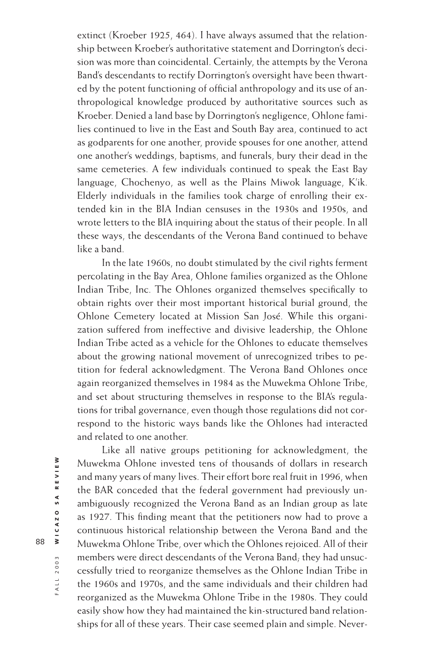extinct (Kroeber 1925, 464). I have always assumed that the relationship between Kroeber's authoritative statement and Dorrington's decision was more than coincidental. Certainly, the attempts by the Verona Band's descendants to rectify Dorrington's oversight have been thwarted by the potent functioning of official anthropology and its use of anthropological knowledge produced by authoritative sources such as Kroeber. Denied a land base by Dorrington's negligence, Ohlone families continued to live in the East and South Bay area, continued to act as godparents for one another, provide spouses for one another, attend one another's weddings, baptisms, and funerals, bury their dead in the same cemeteries. A few individuals continued to speak the East Bay language, Chochenyo, as well as the Plains Miwok language, K'ik. Elderly individuals in the families took charge of enrolling their extended kin in the BIA Indian censuses in the 1930s and 1950s, and wrote letters to the BIA inquiring about the status of their people. In all these ways, the descendants of the Verona Band continued to behave like a band.

In the late 1960s, no doubt stimulated by the civil rights ferment percolating in the Bay Area, Ohlone families organized as the Ohlone Indian Tribe, Inc. The Ohlones organized themselves specifically to obtain rights over their most important historical burial ground, the Ohlone Cemetery located at Mission San José. While this organization suffered from ineffective and divisive leadership, the Ohlone Indian Tribe acted as a vehicle for the Ohlones to educate themselves about the growing national movement of unrecognized tribes to petition for federal acknowledgment. The Verona Band Ohlones once again reorganized themselves in 1984 as the Muwekma Ohlone Tribe, and set about structuring themselves in response to the BIA's regulations for tribal governance, even though those regulations did not correspond to the historic ways bands like the Ohlones had interacted and related to one another.

Like all native groups petitioning for acknowledgment, the Muwekma Ohlone invested tens of thousands of dollars in research and many years of many lives. Their effort bore real fruit in 1996, when the BAR conceded that the federal government had previously unambiguously recognized the Verona Band as an Indian group as late as 1927. This finding meant that the petitioners now had to prove a continuous historical relationship between the Verona Band and the Muwekma Ohlone Tribe, over which the Ohlones rejoiced. All of their members were direct descendants of the Verona Band; they had unsuccessfully tried to reorganize themselves as the Ohlone Indian Tribe in the 1960s and 1970s, and the same individuals and their children had reorganized as the Muwekma Ohlone Tribe in the 1980s. They could easily show how they had maintained the kin-structured band relationships for all of these years. Their case seemed plain and simple. Never-

FALL 2003

ALL 2003 **WICAZO SA REVIEW**

WICAZO SA REVIEW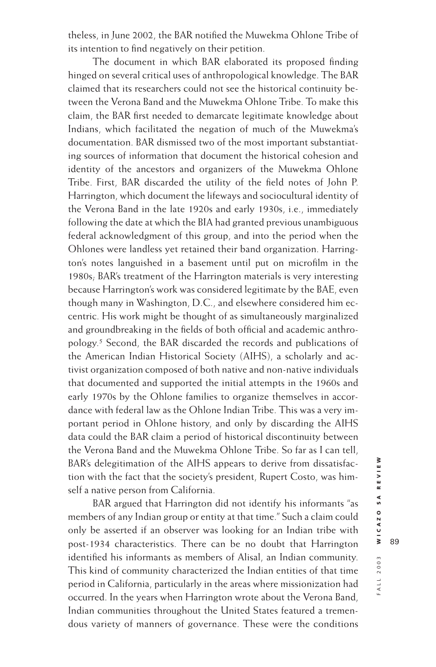theless, in June 2002, the BAR notified the Muwekma Ohlone Tribe of its intention to find negatively on their petition.

The document in which BAR elaborated its proposed finding hinged on several critical uses of anthropological knowledge. The BAR claimed that its researchers could not see the historical continuity between the Verona Band and the Muwekma Ohlone Tribe. To make this claim, the BAR first needed to demarcate legitimate knowledge about Indians, which facilitated the negation of much of the Muwekma's documentation. BAR dismissed two of the most important substantiating sources of information that document the historical cohesion and identity of the ancestors and organizers of the Muwekma Ohlone Tribe. First, BAR discarded the utility of the field notes of John P. Harrington, which document the lifeways and sociocultural identity of the Verona Band in the late 1920s and early 1930s, i.e., immediately following the date at which the BIA had granted previous unambiguous federal acknowledgment of this group, and into the period when the Ohlones were landless yet retained their band organization. Harrington's notes languished in a basement until put on microfilm in the 1980s; BAR's treatment of the Harrington materials is very interesting because Harrington's work was considered legitimate by the BAE, even though many in Washington, D.C., and elsewhere considered him eccentric. His work might be thought of as simultaneously marginalized and groundbreaking in the fields of both official and academic anthropology.5 Second, the BAR discarded the records and publications of the American Indian Historical Society (AIHS), a scholarly and activist organization composed of both native and non-native individuals that documented and supported the initial attempts in the 1960s and early 1970s by the Ohlone families to organize themselves in accordance with federal law as the Ohlone Indian Tribe. This was a very important period in Ohlone history, and only by discarding the AIHS data could the BAR claim a period of historical discontinuity between the Verona Band and the Muwekma Ohlone Tribe. So far as I can tell, BAR's delegitimation of the AIHS appears to derive from dissatisfaction with the fact that the society's president, Rupert Costo, was himself a native person from California.

BAR argued that Harrington did not identify his informants "as members of any Indian group or entity at that time." Such a claim could only be asserted if an observer was looking for an Indian tribe with post-1934 characteristics. There can be no doubt that Harrington identified his informants as members of Alisal, an Indian community. This kind of community characterized the Indian entities of that time period in California, particularly in the areas where missionization had occurred. In the years when Harrington wrote about the Verona Band, Indian communities throughout the United States featured a tremendous variety of manners of governance. These were the conditions

FALL 2003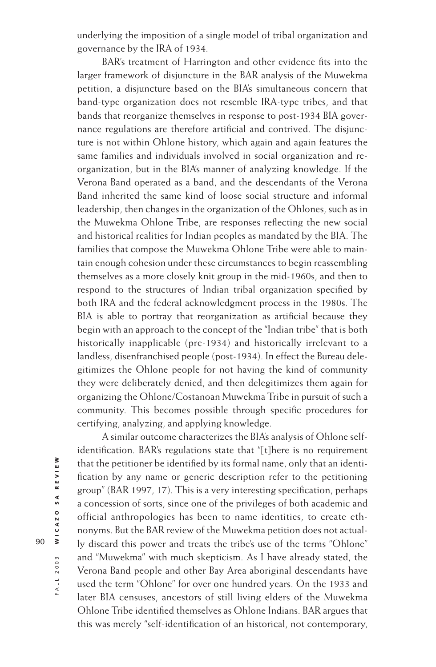underlying the imposition of a single model of tribal organization and governance by the IRA of 1934.

BAR's treatment of Harrington and other evidence fits into the larger framework of disjuncture in the BAR analysis of the Muwekma petition, a disjuncture based on the BIA's simultaneous concern that band-type organization does not resemble IRA-type tribes, and that bands that reorganize themselves in response to post-1934 BIA governance regulations are therefore artificial and contrived. The disjuncture is not within Ohlone history, which again and again features the same families and individuals involved in social organization and reorganization, but in the BIA's manner of analyzing knowledge. If the Verona Band operated as a band, and the descendants of the Verona Band inherited the same kind of loose social structure and informal leadership, then changes in the organization of the Ohlones, such as in the Muwekma Ohlone Tribe, are responses reflecting the new social and historical realities for Indian peoples as mandated by the BIA. The families that compose the Muwekma Ohlone Tribe were able to maintain enough cohesion under these circumstances to begin reassembling themselves as a more closely knit group in the mid-1960s, and then to respond to the structures of Indian tribal organization specified by both IRA and the federal acknowledgment process in the 1980s. The BIA is able to portray that reorganization as artificial because they begin with an approach to the concept of the "Indian tribe" that is both historically inapplicable (pre-1934) and historically irrelevant to a landless, disenfranchised people (post-1934). In effect the Bureau delegitimizes the Ohlone people for not having the kind of community they were deliberately denied, and then delegitimizes them again for organizing the Ohlone/Costanoan Muwekma Tribe in pursuit of such a community. This becomes possible through specific procedures for certifying, analyzing, and applying knowledge.

A similar outcome characterizes the BIA's analysis of Ohlone selfidentification. BAR's regulations state that "[t]here is no requirement that the petitioner be identified by its formal name, only that an identification by any name or generic description refer to the petitioning group" (BAR 1997, 17). This is a very interesting specification, perhaps a concession of sorts, since one of the privileges of both academic and official anthropologies has been to name identities, to create ethnonyms. But the BAR review of the Muwekma petition does not actually discard this power and treats the tribe's use of the terms "Ohlone" and "Muwekma" with much skepticism. As I have already stated, the Verona Band people and other Bay Area aboriginal descendants have used the term "Ohlone" for over one hundred years. On the 1933 and later BIA censuses, ancestors of still living elders of the Muwekma Ohlone Tribe identified themselves as Ohlone Indians. BAR argues that this was merely "self-identification of an historical, not contemporary,

FALL 2003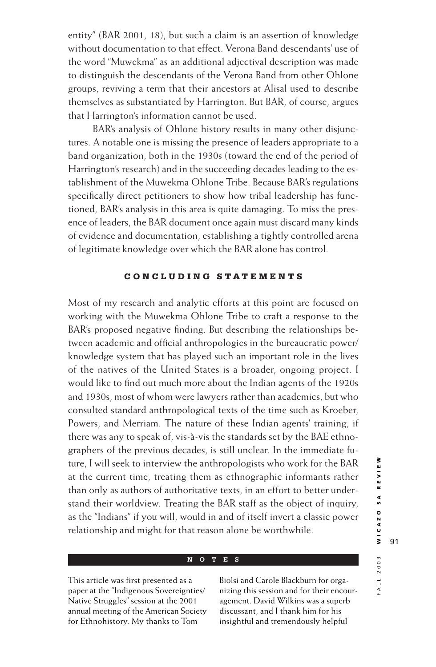entity" (BAR 2001, 18), but such a claim is an assertion of knowledge without documentation to that effect. Verona Band descendants' use of the word "Muwekma" as an additional adjectival description was made to distinguish the descendants of the Verona Band from other Ohlone groups, reviving a term that their ancestors at Alisal used to describe themselves as substantiated by Harrington. But BAR, of course, argues that Harrington's information cannot be used.

BAR's analysis of Ohlone history results in many other disjunctures. A notable one is missing the presence of leaders appropriate to a band organization, both in the 1930s (toward the end of the period of Harrington's research) and in the succeeding decades leading to the establishment of the Muwekma Ohlone Tribe. Because BAR's regulations specifically direct petitioners to show how tribal leadership has functioned, BAR's analysis in this area is quite damaging. To miss the presence of leaders, the BAR document once again must discard many kinds of evidence and documentation, establishing a tightly controlled arena of legitimate knowledge over which the BAR alone has control.

# **CONCLUDING STATEMENTS**

Most of my research and analytic efforts at this point are focused on working with the Muwekma Ohlone Tribe to craft a response to the BAR's proposed negative finding. But describing the relationships between academic and official anthropologies in the bureaucratic power/ knowledge system that has played such an important role in the lives of the natives of the United States is a broader, ongoing project. I would like to find out much more about the Indian agents of the 1920s and 1930s, most of whom were lawyers rather than academics, but who consulted standard anthropological texts of the time such as Kroeber, Powers, and Merriam. The nature of these Indian agents' training, if there was any to speak of, vis-à-vis the standards set by the BAE ethnographers of the previous decades, is still unclear. In the immediate future, I will seek to interview the anthropologists who work for the BAR at the current time, treating them as ethnographic informants rather than only as authors of authoritative texts, in an effort to better understand their worldview. Treating the BAR staff as the object of inquiry, as the "Indians" if you will, would in and of itself invert a classic power relationship and might for that reason alone be worthwhile.

#### **NOTES**

This article was first presented as a paper at the "Indigenous Sovereignties/ Native Struggles" session at the 2001 annual meeting of the American Society for Ethnohistory. My thanks to Tom

Biolsi and Carole Blackburn for organizing this session and for their encouragement. David Wilkins was a superb discussant, and I thank him for his insightful and tremendously helpful

FALL 2003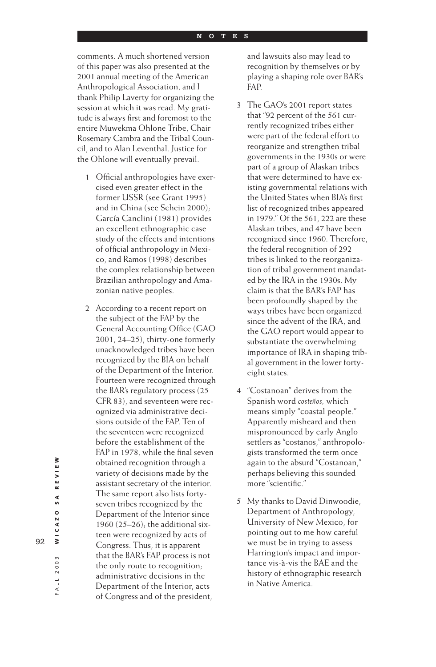comments. A much shortened version of this paper was also presented at the 2001 annual meeting of the American Anthropological Association, and I thank Philip Laverty for organizing the session at which it was read. My gratitude is always first and foremost to the entire Muwekma Ohlone Tribe, Chair Rosemary Cambra and the Tribal Council, and to Alan Leventhal. Justice for the Ohlone will eventually prevail.

- 1 Official anthropologies have exercised even greater effect in the former USSR (see Grant 1995) and in China (see Schein 2000); García Canclini (1981) provides an excellent ethnographic case study of the effects and intentions of official anthropology in Mexico, and Ramos (1998) describes the complex relationship between Brazilian anthropology and Amazonian native peoples.
- 2 According to a recent report on the subject of the FAP by the General Accounting Office (GAO 2001, 24–25), thirty-one formerly unacknowledged tribes have been recognized by the BIA on behalf of the Department of the Interior. Fourteen were recognized through the BAR's regulatory process (25 CFR 83), and seventeen were recognized via administrative decisions outside of the FAP. Ten of the seventeen were recognized before the establishment of the FAP in 1978, while the final seven obtained recognition through a variety of decisions made by the assistant secretary of the interior. The same report also lists fortyseven tribes recognized by the Department of the Interior since 1960 (25–26); the additional sixteen were recognized by acts of Congress. Thus, it is apparent that the BAR's FAP process is not the only route to recognition; administrative decisions in the Department of the Interior, acts of Congress and of the president,

and lawsuits also may lead to recognition by themselves or by playing a shaping role over BAR's FAP.

- 3 The GAO's 2001 report states that "92 percent of the 561 currently recognized tribes either were part of the federal effort to reorganize and strengthen tribal governments in the 1930s or were part of a group of Alaskan tribes that were determined to have existing governmental relations with the United States when BIA's first list of recognized tribes appeared in 1979." Of the 561, 222 are these Alaskan tribes, and 47 have been recognized since 1960. Therefore, the federal recognition of 292 tribes is linked to the reorganization of tribal government mandated by the IRA in the 1930s. My claim is that the BAR's FAP has been profoundly shaped by the ways tribes have been organized since the advent of the IRA, and the GAO report would appear to substantiate the overwhelming importance of IRA in shaping tribal government in the lower fortyeight states.
- 4 "Costanoan" derives from the Spanish word *costeños,* which means simply "coastal people." Apparently misheard and then mispronounced by early Anglo settlers as "costanos," anthropologists transformed the term once again to the absurd "Costanoan," perhaps believing this sounded more "scientific."
- 5 My thanks to David Dinwoodie, Department of Anthropology, University of New Mexico, for pointing out to me how careful we must be in trying to assess Harrington's impact and importance vis-à-vis the BAE and the history of ethnographic research in Native America.

FALL 2003

ALL 2003 **WICAZO SA REVIEW**

WICAZO

REVIEW

S A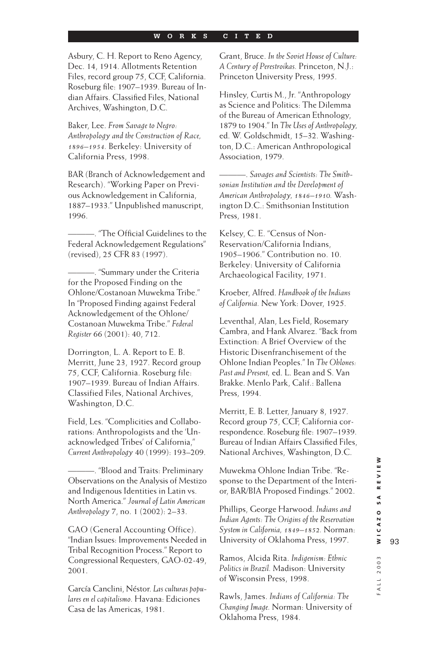Asbury, C. H. Report to Reno Agency, Dec. 14, 1914. Allotments Retention Files, record group 75, CCF, California. Roseburg file: 1907–1939. Bureau of Indian Affairs. Classified Files, National Archives, Washington, D.C.

Baker, Lee. *From Savage to Negro: Anthropology and the Construction of Race, 1896–1954.* Berkeley: University of California Press, 1998.

BAR (Branch of Acknowledgement and Research). "Working Paper on Previous Acknowledgement in California, 1887–1933." Unpublished manuscript, 1996.

 $-$  "The Official Guidelines to the Federal Acknowledgement Regulations" (revised), 25 CFR 83 (1997).

———. "Summary under the Criteria for the Proposed Finding on the Ohlone/Costanoan Muwekma Tribe." In "Proposed Finding against Federal Acknowledgement of the Ohlone/ Costanoan Muwekma Tribe." *Federal Register* 66 (2001): 40, 712.

Dorrington, L. A. Report to E. B. Merritt, June 23, 1927. Record group 75, CCF, California. Roseburg file: 1907–1939. Bureau of Indian Affairs. Classified Files, National Archives, Washington, D.C.

Field, Les. "Complicities and Collaborations: Anthropologists and the 'Unacknowledged Tribes' of California," *Current Anthropology* 40 (1999): 193–209.

———. "Blood and Traits: Preliminary Observations on the Analysis of Mestizo and Indigenous Identities in Latin vs. North America." *Journal of Latin American Anthropology* 7, no. 1 (2002): 2–33.

GAO (General Accounting Office). "Indian Issues: Improvements Needed in Tribal Recognition Process." Report to Congressional Requesters, GAO-02-49, 2001.

García Canclini, Néstor. *Las culturas populares en el capitalismo.* Havana: Ediciones Casa de las Americas, 1981.

Grant, Bruce. *In the Soviet House of Culture: A Century of Perestroikas.* Princeton, N.J.: Princeton University Press, 1995.

Hinsley, Curtis M., Jr. "Anthropology as Science and Politics: The Dilemma of the Bureau of American Ethnology, 1879 to 1904." In *The Uses of Anthropology,* ed. W. Goldschmidt, 15–32. Washington, D.C.: American Anthropological Association, 1979.

———. *Savages and Scientists: The Smithsonian Institution and the Development of American Anthropology, 1846–1910.* Washington D.C.: Smithsonian Institution Press, 1981.

Kelsey, C. E. "Census of Non-Reservation/California Indians, 1905–1906." Contribution no. 10. Berkeley: University of California Archaeological Facility, 1971.

Kroeber, Alfred. *Handbook of the Indians of California.* New York: Dover, 1925.

Leventhal, Alan, Les Field, Rosemary Cambra, and Hank Alvarez. "Back from Extinction: A Brief Overview of the Historic Disenfranchisement of the Ohlone Indian Peoples." In *The Ohlones: Past and Present,* ed. L. Bean and S. Van Brakke. Menlo Park, Calif.: Ballena Press, 1994.

Merritt, E. B. Letter, January 8, 1927. Record group 75, CCF, California correspondence. Roseburg file: 1907–1939. Bureau of Indian Affairs Classified Files, National Archives, Washington, D.C.

Muwekma Ohlone Indian Tribe. "Response to the Department of the Interior, BAR/BIA Proposed Findings." 2002.

Phillips, George Harwood. *Indians and Indian Agents: The Origins of the Reservation System in California, 1849–1852.* Norman: University of Oklahoma Press, 1997.

Ramos, Alcida Rita. *Indigenism: Ethnic Politics in Brazil.* Madison: University of Wisconsin Press, 1998.

Rawls, James. *Indians of California: The Changing Image.* Norman: University of Oklahoma Press, 1984.

F